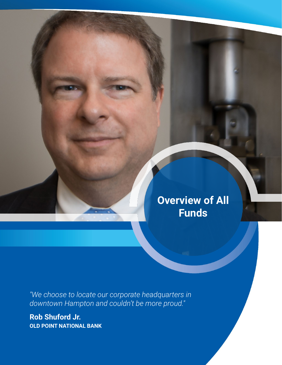# **Overview of All Funds**

*"We choose to locate our corporate headquarters in downtown Hampton and couldn't be more proud."* 

**Rob Shuford Jr. OLD POINT NATIONAL BANK**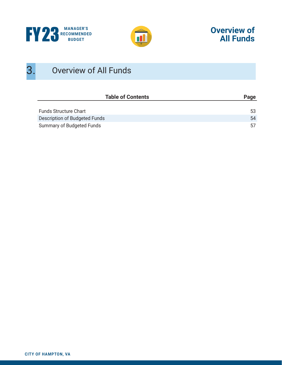





# 3. Overview of All Funds

| <b>Table of Contents</b>      | Page |
|-------------------------------|------|
|                               |      |
| <b>Funds Structure Chart</b>  | 53   |
| Description of Budgeted Funds | 54   |
| Summary of Budgeted Funds     | 57   |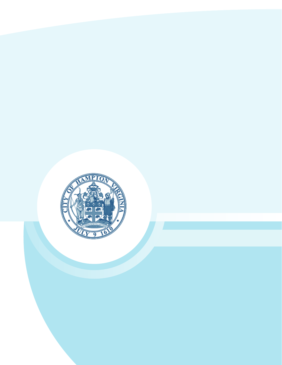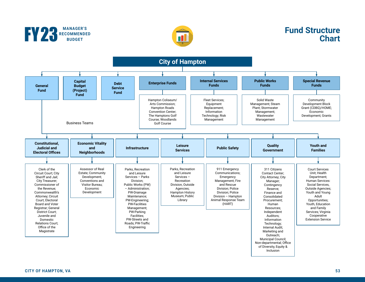



## **Fund Structure Chart**

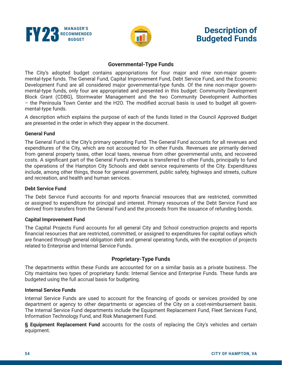





### **Governmental-Type Funds**

The City's adopted budget contains appropriations for four major and nine non-major governmental-type funds. The General Fund, Capital Improvement Fund, Debt Service Fund, and the Economic Development Fund are all considered major governmental-type funds. Of the nine non-major governmental-type funds, only four are appropriated and presented in this budget: Community Development Block Grant (CDBG), Stormwater Management and the two Community Development Authorities – the Peninsula Town Center and the H2O. The modified accrual basis is used to budget all governmental-type funds.

A description which explains the purpose of each of the funds listed in the Council Approved Budget are presented in the order in which they appear in the document.

#### **General Fund**

The General Fund is the City's primary operating Fund. The General Fund accounts for all revenues and expenditures of the City, which are not accounted for in other Funds. Revenues are primarily derived from general property taxes, other local taxes, revenue from other governmental units, and recovered costs. A significant part of the General Fund's revenue is transferred to other Funds, principally to fund the operations of the Hampton City Schools and debt service requirements of the City. Expenditures include, among other things, those for general government, public safety, highways and streets, culture and recreation, and health and human services.

#### **Debt Service Fund**

The Debt Service Fund accounts for and reports financial resources that are restricted, committed or assigned to expenditure for principal and interest. Primary resources of the Debt Service Fund are derived from transfers from the General Fund and the proceeds from the issuance of refunding bonds.

#### **Capital Improvement Fund**

The Capital Projects Fund accounts for all general City and School construction projects and reports financial resources that are restricted, committed, or assigned to expenditures for capital outlays which are financed through general obligation debt and general operating funds, with the exception of projects related to Enterprise and Internal Service Funds.

### **Proprietary-Type Funds**

The departments within these Funds are accounted for on a similar basis as a private business. The City maintains two types of proprietary funds: Internal Service and Enterprise Funds. These funds are budgeted using the full accrual basis for budgeting.

#### **Internal Service Funds**

Internal Service Funds are used to account for the financing of goods or services provided by one department or agency to other departments or agencies of the City on a cost-reimbursement basis. The Internal Service Fund departments include the Equipment Replacement Fund, Fleet Services Fund, Information Technology Fund, and Risk Management Fund.

**§ Equipment Replacement Fund** accounts for the costs of replacing the City's vehicles and certain equipment.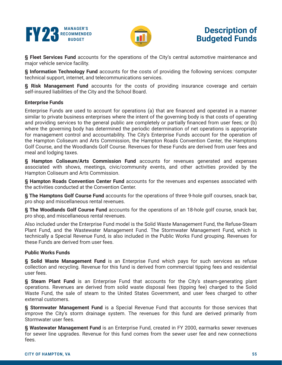



# **Description of Budgeted Funds**

**§ Fleet Services Fund** accounts for the operations of the City's central automotive maintenance and major vehicle service facility.

**§ Information Technology Fund** accounts for the costs of providing the following services: computer technical support, internet, and telecommunications services.

**§ Risk Management Fund** accounts for the costs of providing insurance coverage and certain self-insured liabilities of the City and the School Board.

#### **Enterprise Funds**

Enterprise Funds are used to account for operations (a) that are financed and operated in a manner similar to private business enterprises where the intent of the governing body is that costs of operating and providing services to the general public are completely or partially financed from user fees; or (b) where the governing body has determined the periodic determination of net operations is appropriate for management control and accountability. The City's Enterprise Funds account for the operation of the Hampton Coliseum and Arts Commission, the Hampton Roads Convention Center, the Hamptons Golf Course, and the Woodlands Golf Course. Revenues for these Funds are derived from user fees and meal and lodging taxes.

**§ Hampton Coliseum/Arts Commission Fund** accounts for revenues generated and expenses associated with shows, meetings, civic/community events, and other activities provided by the Hampton Coliseum and Arts Commission.

**§ Hampton Roads Convention Center Fund** accounts for the revenues and expenses associated with the activities conducted at the Convention Center.

**§ The Hamptons Golf Course Fund** accounts for the operations of three 9-hole golf courses, snack bar, pro shop and miscellaneous rental revenues.

**§ The Woodlands Golf Course Fund** accounts for the operations of an 18-hole golf course, snack bar, pro shop, and miscellaneous rental revenues.

Also included under the Enterprise Fund model is the Solid Waste Management Fund, the Refuse-Steam Plant Fund, and the Wastewater Management Fund. The Stormwater Management Fund, which is technically a Special Revenue Fund, is also included in the Public Works Fund grouping. Revenues for these Funds are derived from user fees.

#### **Public Works Funds**

**§ Solid Waste Management Fund** is an Enterprise Fund which pays for such services as refuse collection and recycling. Revenue for this fund is derived from commercial tipping fees and residential user fees.

**§ Steam Plant Fund** is an Enterprise Fund that accounts for the City's steam-generating plant operations. Revenues are derived from solid waste disposal fees (tipping fee) charged to the Solid Waste Fund, the sale of steam to the United States Government, and user fees charged to other external customers.

**§ Stormwater Management Fund** is a Special Revenue Fund that accounts for those services that improve the City's storm drainage system. The revenues for this fund are derived primarily from Stormwater user fees.

**§ Wastewater Management Fund** is an Enterprise Fund, created in FY 2000, earmarks sewer revenues for sewer line upgrades. Revenue for this fund comes from the sewer user fee and new connections fees.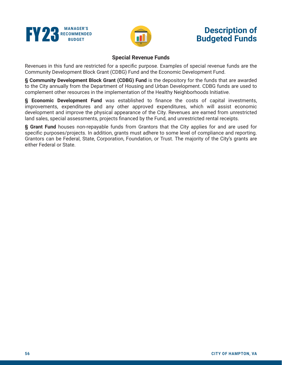



# **Description of Budgeted Funds**

### **Special Revenue Funds**

Revenues in this fund are restricted for a specific purpose. Examples of special revenue funds are the Community Development Block Grant (CDBG) Fund and the Economic Development Fund.

**§ Community Development Block Grant (CDBG) Fund** is the depository for the funds that are awarded to the City annually from the Department of Housing and Urban Development. CDBG funds are used to complement other resources in the implementation of the Healthy Neighborhoods Initiative.

**§ Economic Development Fund** was established to finance the costs of capital investments, improvements, expenditures and any other approved expenditures, which will assist economic development and improve the physical appearance of the City. Revenues are earned from unrestricted land sales, special assessments, projects financed by the Fund, and unrestricted rental receipts.

**§ Grant Fund** houses non-repayable funds from Grantors that the City applies for and are used for specific purposes/projects. In addition, grants must adhere to some level of compliance and reporting. Grantors can be Federal, State, Corporation, Foundation, or Trust. The majority of the City's grants are either Federal or State.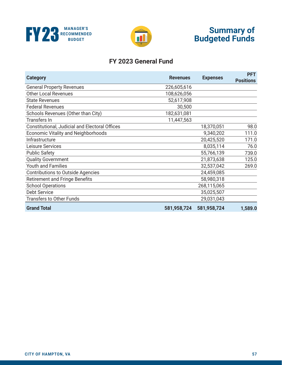



# **Summary of Budgeted Funds**

### **FY 2023 General Fund**

| <b>Category</b>                                       | <b>Revenues</b> | <b>Expenses</b> | <b>PFT</b><br><b>Positions</b> |
|-------------------------------------------------------|-----------------|-----------------|--------------------------------|
| <b>General Property Revenues</b>                      | 226,605,616     |                 |                                |
| <b>Other Local Revenues</b>                           | 108,626,056     |                 |                                |
| <b>State Revenues</b>                                 | 52,617,908      |                 |                                |
| <b>Federal Revenues</b>                               | 30,500          |                 |                                |
| Schools Revenues (Other than City)                    | 182,631,081     |                 |                                |
| Transfers In                                          | 11,447,563      |                 |                                |
| <b>Constitutional, Judicial and Electoral Offices</b> |                 | 18,370,051      | 98.0                           |
| <b>Economic Vitality and Neighborhoods</b>            |                 | 9,340,202       | 111.0                          |
| Infrastructure                                        |                 | 20,425,520      | 171.0                          |
| Leisure Services                                      |                 | 8,035,114       | 76.0                           |
| <b>Public Safety</b>                                  |                 | 55,766,139      | 739.0                          |
| <b>Quality Government</b>                             |                 | 21,873,638      | 125.0                          |
| <b>Youth and Families</b>                             |                 | 32,537,042      | 269.0                          |
| <b>Contributions to Outside Agencies</b>              |                 | 24,459,085      |                                |
| <b>Retirement and Fringe Benefits</b>                 |                 | 58,980,318      |                                |
| <b>School Operations</b>                              |                 | 268,115,065     |                                |
| <b>Debt Service</b>                                   |                 | 35,025,507      |                                |
| <b>Transfers to Other Funds</b>                       |                 | 29,031,043      |                                |
| <b>Grand Total</b>                                    | 581,958,724     | 581,958,724     | 1,589.0                        |